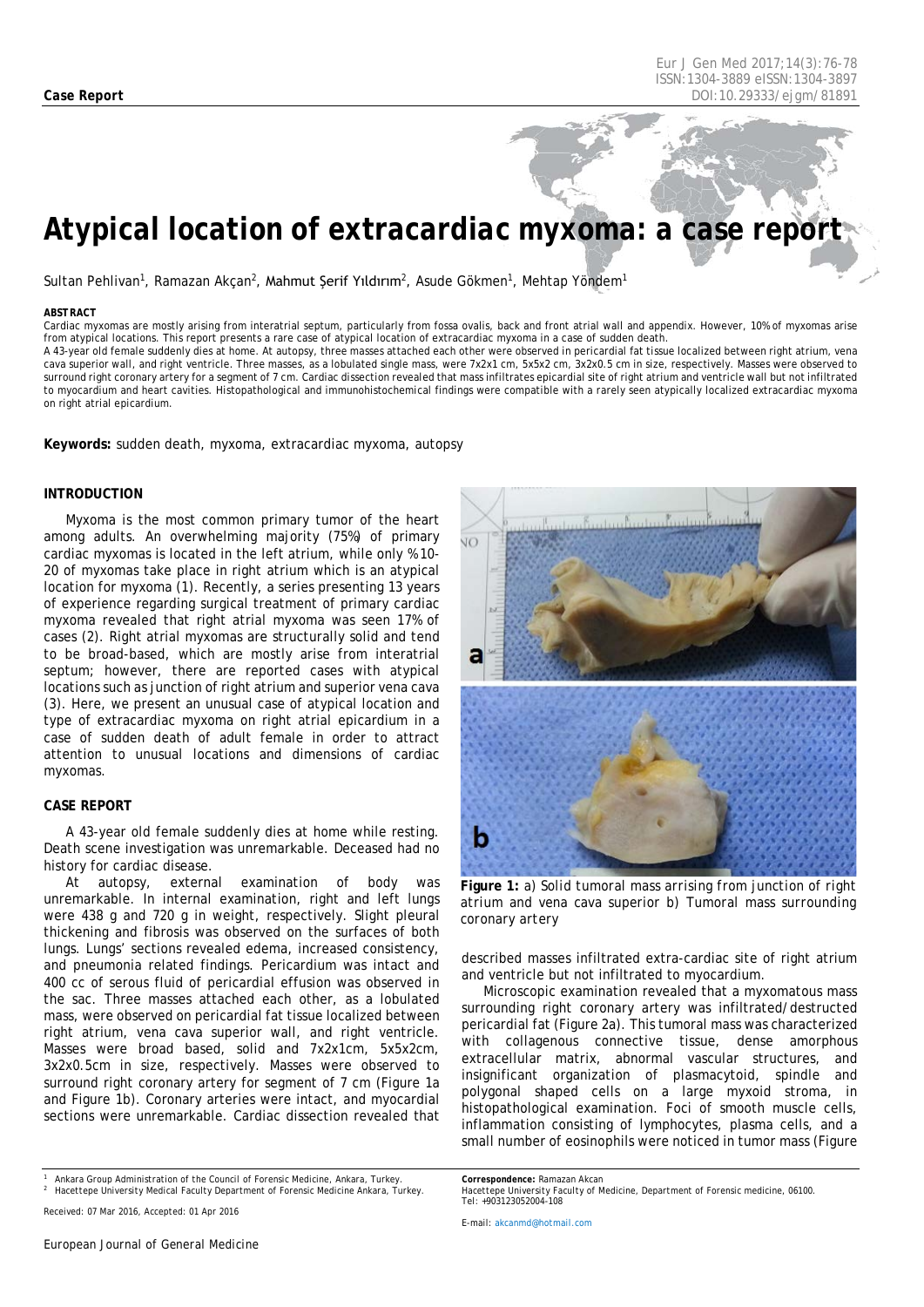# *Atypical location of extracardiac myxoma: a case report*

Sultan Pehlivan<sup>1</sup>, Ramazan Akçan<sup>2</sup>, Mahmut Şerif Yıldırım<sup>2</sup>, Asude Gökmen<sup>1</sup>, Mehtap Yöndem<sup>1</sup>

#### <span id="page-0-0"></span>*ABSTRACT*

Cardiac myxomas are mostly arising from interatrial septum, particularly from fossa ovalis, back and front atrial wall and appendix. However, 10% of myxomas arise from atypical locations. This report presents a rare case of atypical location of extracardiac myxoma in a case of sudden death. A 43-year old female suddenly dies at home. At autopsy, three masses attached each other were observed in pericardial fat tissue localized between right atrium, vena cava superior wall, and right ventricle. Three masses, as a lobulated single mass, were 7x2x1 cm, 5x5x2 cm, 3x2x0.5 cm in size, respectively. Masses were observed to surround right coronary artery for a segment of 7 cm. Cardiac dissection revealed that mass infiltrates epicardial site of right atrium and ventricle wall but not infiltrated

to myocardium and heart cavities. Histopathological and immunohistochemical findings were compatible with a rarely seen atypically localized extracardiac myxoma

**Keywords:** sudden death, myxoma, extracardiac myxoma, autopsy

# **INTRODUCTION**

on right atrial epicardium.

Myxoma is the most common primary tumor of the heart among adults. An overwhelming majority (75%) of primary cardiac myxomas is located in the left atrium, while only % 10- 20 of myxomas take place in right atrium which is an atypical location for myxoma (1). Recently, a series presenting 13 years of experience regarding surgical treatment of primary cardiac myxoma revealed that right atrial myxoma was seen 17% of cases (2). Right atrial myxomas are structurally solid and tend to be broad-based, which are mostly arise from interatrial septum; however, there are reported cases with atypical locations such as junction of right atrium and superior vena cava (3). Here, we present an unusual case of atypical location and type of extracardiac myxoma on right atrial epicardium in a case of sudden death of adult female in order to attract attention to unusual locations and dimensions of cardiac myxomas.

# **CASE REPORT**

A 43-year old female suddenly dies at home while resting. Death scene investigation was unremarkable. Deceased had no history for cardiac disease.

At autopsy, external examination of body was unremarkable. In internal examination, right and left lungs were 438 g and 720 g in weight, respectively. Slight pleural thickening and fibrosis was observed on the surfaces of both lungs. Lungs' sections revealed edema, increased consistency, and pneumonia related findings. Pericardium was intact and 400 cc of serous fluid of pericardial effusion was observed in the sac. Three masses attached each other, as a lobulated mass, were observed on pericardial fat tissue localized between right atrium, vena cava superior wall, and right ventricle. Masses were broad based, solid and 7x2x1cm, 5x5x2cm, 3x2x0.5cm in size, respectively. Masses were observed to surround right coronary artery for segment of 7 cm (Figure 1a and Figure 1b). Coronary arteries were intact, and myocardial sections were unremarkable. Cardiac dissection revealed that

*<sup>1</sup> Ankara Group Administration of the Council of Forensic Medicine, Ankara, Turkey. <sup>2</sup> Hacettepe University Medical Faculty Department of Forensic Medicine Ankara, Turkey.*



**Figure 1:** *a) Solid tumoral mass arrising from junction of right atrium and vena cava superior b) Tumoral mass surrounding coronary artery*

described masses infiltrated extra-cardiac site of right atrium and ventricle but not infiltrated to myocardium.

Microscopic examination revealed that a myxomatous mass surrounding right coronary artery was infiltrated/destructed pericardial fat (Figure 2a). This tumoral mass was characterized with collagenous connective tissue, dense amorphous extracellular matrix, abnormal vascular structures, and insignificant organization of plasmacytoid, spindle and polygonal shaped cells on a large myxoid stroma, in histopathological examination. Foci of smooth muscle cells, inflammation consisting of lymphocytes, plasma cells, and a small number of eosinophils were noticed in tumor mass (Figure

*E-mail[: akcanmd@hotmail.com](mailto:akcanmd@hotmail.com)*

*Received: 07 Mar 2016, Accepted: 01 Apr 2016*

*Correspondence: Ramazan Akcan Hacettepe University Faculty of Medicine, Department of Forensic medicine, 06100. Tel: +903123052004-108*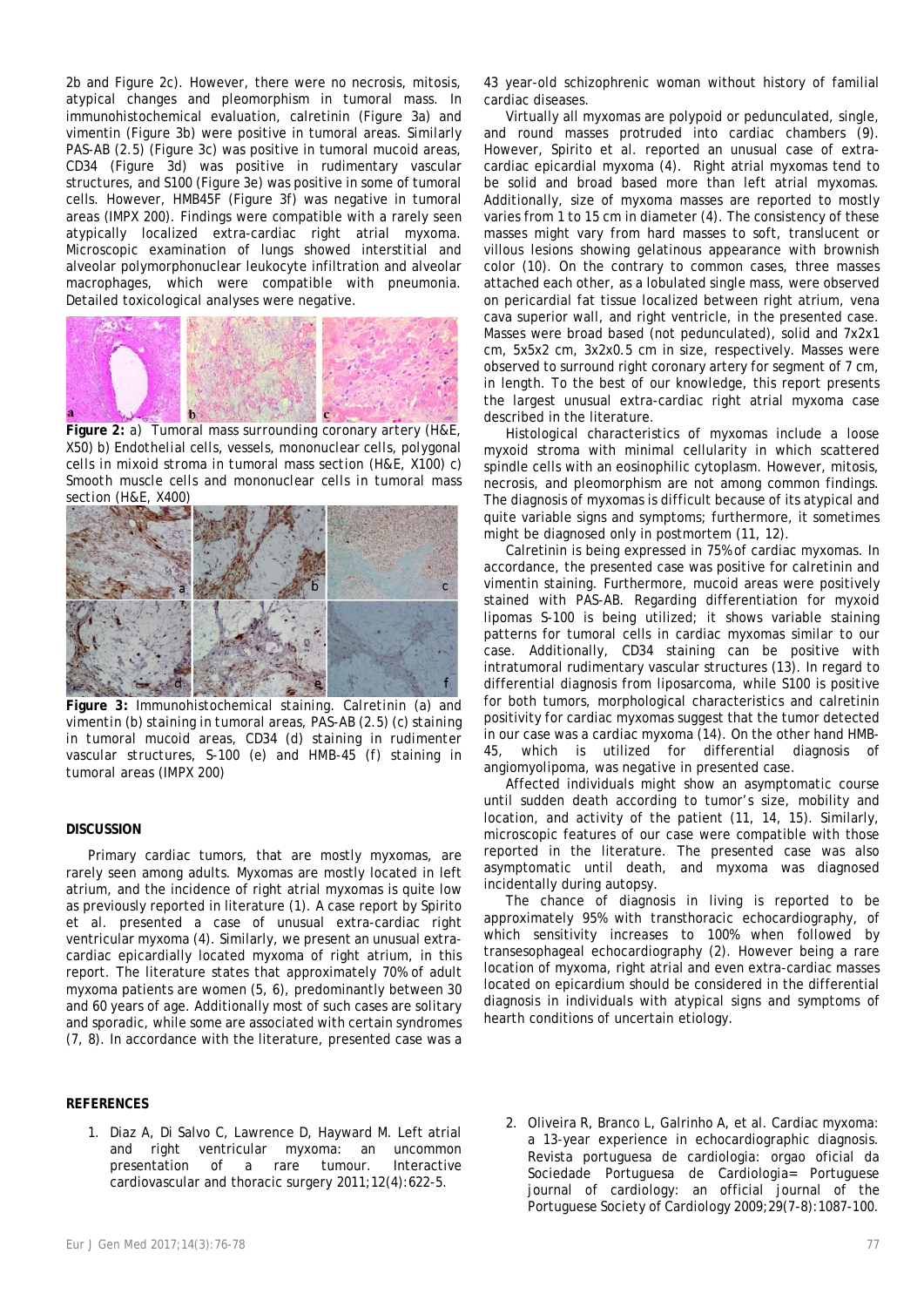2b and Figure 2c). However, there were no necrosis, mitosis, atypical changes and pleomorphism in tumoral mass. In immunohistochemical evaluation, calretinin (Figure 3a) and vimentin (Figure 3b) were positive in tumoral areas. Similarly PAS-AB (2.5) (Figure 3c) was positive in tumoral mucoid areas, CD34 (Figure 3d) was positive in rudimentary vascular structures, and S100 (Figure 3e) was positive in some of tumoral cells. However, HMB45F (Figure 3f) was negative in tumoral areas (IMPX 200). Findings were compatible with a rarely seen atypically localized extra-cardiac right atrial myxoma. Microscopic examination of lungs showed interstitial and alveolar polymorphonuclear leukocyte infiltration and alveolar macrophages, which were compatible with pneumonia. Detailed toxicological analyses were negative.



**Figure 2:** *a) Tumoral mass surrounding coronary artery (H&E, X50) b) Endothelial cells, vessels, mononuclear cells, polygonal cells in mixoid stroma in tumoral mass section (H&E, X100) c) Smooth muscle cells and mononuclear cells in tumoral mass section (H&E, X400)*



**Figure 3:** *Immunohistochemical staining. Calretinin (a) and vimentin (b) staining in tumoral areas, PAS-AB (2.5) (c) staining in tumoral mucoid areas, CD34 (d) staining in rudimenter vascular structures, S-100 (e) and HMB-45 (f) staining in tumoral areas (IMPX 200)*

### **DISCUSSION**

Primary cardiac tumors, that are mostly myxomas, are rarely seen among adults. Myxomas are mostly located in left atrium, and the incidence of right atrial myxomas is quite low as previously reported in literature (1). A case report by Spirito et al. presented a case of unusual extra-cardiac right ventricular myxoma (4). Similarly, we present an unusual extracardiac epicardially located myxoma of right atrium, in this report. The literature states that approximately 70% of adult myxoma patients are women (5, 6), predominantly between 30 and 60 years of age. Additionally most of such cases are solitary and sporadic, while some are associated with certain syndromes (7, 8). In accordance with the literature, presented case was a

#### **REFERENCES**

1. Diaz A, Di Salvo C, Lawrence D, Hayward M. Left atrial and right ventricular myxoma: an uncommon presentation of a rare tumour. Interactive cardiovascular and thoracic surgery 2011;12(4):622-5.

43 year-old schizophrenic woman without history of familial cardiac diseases.

Virtually all myxomas are polypoid or pedunculated, single, and round masses protruded into cardiac chambers (9). However, Spirito et al. reported an unusual case of extracardiac epicardial myxoma (4). Right atrial myxomas tend to be solid and broad based more than left atrial myxomas. Additionally, size of myxoma masses are reported to mostly varies from 1 to 15 cm in diameter (4). The consistency of these masses might vary from hard masses to soft, translucent or villous lesions showing gelatinous appearance with brownish color (10). On the contrary to common cases, three masses attached each other, as a lobulated single mass, were observed on pericardial fat tissue localized between right atrium, vena cava superior wall, and right ventricle, in the presented case. Masses were broad based (not pedunculated), solid and 7x2x1 cm, 5x5x2 cm, 3x2x0.5 cm in size, respectively. Masses were observed to surround right coronary artery for segment of 7 cm, in length. To the best of our knowledge, this report presents the largest unusual extra-cardiac right atrial myxoma case described in the literature.

Histological characteristics of myxomas include a loose myxoid stroma with minimal cellularity in which scattered spindle cells with an eosinophilic cytoplasm. However, mitosis, necrosis, and pleomorphism are not among common findings. The diagnosis of myxomas is difficult because of its atypical and quite variable signs and symptoms; furthermore, it sometimes might be diagnosed only in postmortem (11, 12).

Calretinin is being expressed in 75% of cardiac myxomas. In accordance, the presented case was positive for calretinin and vimentin staining. Furthermore, mucoid areas were positively stained with PAS-AB. Regarding differentiation for myxoid lipomas S-100 is being utilized; it shows variable staining patterns for tumoral cells in cardiac myxomas similar to our case. Additionally, CD34 staining can be positive with intratumoral rudimentary vascular structures (13). In regard to differential diagnosis from liposarcoma, while S100 is positive for both tumors, morphological characteristics and calretinin positivity for cardiac myxomas suggest that the tumor detected in our case was a cardiac myxoma (14). On the other hand HMB-45, which is utilized for differential diagnosis of angiomyolipoma, was negative in presented case.

Affected individuals might show an asymptomatic course until sudden death according to tumor's size, mobility and location, and activity of the patient (11, 14, 15). Similarly, microscopic features of our case were compatible with those reported in the literature. The presented case was also asymptomatic until death, and myxoma was diagnosed incidentally during autopsy.

The chance of diagnosis in living is reported to be approximately 95% with transthoracic echocardiography, of which sensitivity increases to 100% when followed by transesophageal echocardiography (2). However being a rare location of myxoma, right atrial and even extra-cardiac masses located on epicardium should be considered in the differential diagnosis in individuals with atypical signs and symptoms of hearth conditions of uncertain etiology.

2. Oliveira R, Branco L, Galrinho A, et al. Cardiac myxoma: a 13-year experience in echocardiographic diagnosis. Revista portuguesa de cardiologia: orgao oficial da Sociedade Portuguesa de Cardiologia= Portuguese journal of cardiology: an official journal of the Portuguese Society of Cardiology 2009;29(7-8):1087-100.